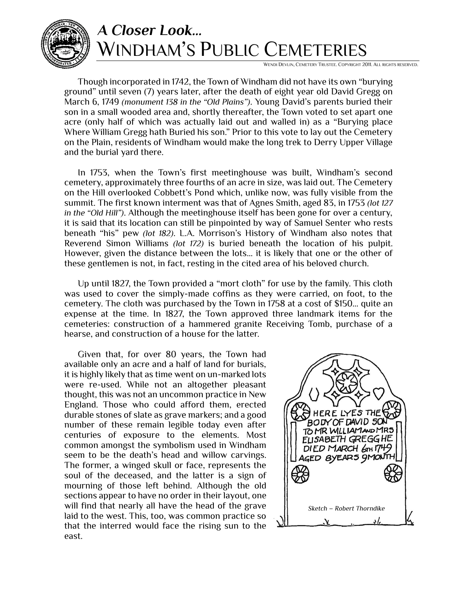

## *A Closer Look…* WINDHAM'S PUBLIC CEMETERIES

WENDI DEVLIN, CEMETERY TRUSTEE. COPYRIGHT 2011. ALL RIGHTS RESERVED.

Though incorporated in 1742, the Town of Windham did not have its own "burying ground" until seven (7) years later, after the death of eight year old David Gregg on March 6, 1749 *(monument 138 in the "Old Plains")*. Young David's parents buried their son in a small wooded area and, shortly thereafter, the Town voted to set apart one acre (only half of which was actually laid out and walled in) as a "Burying place Where William Gregg hath Buried his son." Prior to this vote to lay out the Cemetery on the Plain, residents of Windham would make the long trek to Derry Upper Village and the burial yard there.

In 1753, when the Town's first meetinghouse was built, Windham's second cemetery, approximately three fourths of an acre in size, was laid out. The Cemetery on the Hill overlooked Cobbett's Pond which, unlike now, was fully visible from the summit. The first known interment was that of Agnes Smith, aged 83, in 1753 *(lot 127 in the "Old Hill")*. Although the meetinghouse itself has been gone for over a century, it is said that its location can still be pinpointed by way of Samuel Senter who rests beneath "his" pew *(lot 182)*. L.A. Morrison's History of Windham also notes that Reverend Simon Williams *(lot 172)* is buried beneath the location of his pulpit. However, given the distance between the lots… it is likely that one or the other of these gentlemen is not, in fact, resting in the cited area of his beloved church.

Up until 1827, the Town provided a "mort cloth" for use by the family. This cloth was used to cover the simply-made coffins as they were carried, on foot, to the cemetery. The cloth was purchased by the Town in 1758 at a cost of \$150… quite an expense at the time. In 1827, the Town approved three landmark items for the cemeteries: construction of a hammered granite Receiving Tomb, purchase of a hearse, and construction of a house for the latter.

Given that, for over 80 years, the Town had available only an acre and a half of land for burials, it is highly likely that as time went on un-marked lots were re-used. While not an altogether pleasant thought, this was not an uncommon practice in New England. Those who could afford them, erected durable stones of slate as grave markers; and a good number of these remain legible today even after centuries of exposure to the elements. Most common amongst the symbolism used in Windham seem to be the death's head and willow carvings. The former, a winged skull or face, represents the soul of the deceased, and the latter is a sign of mourning of those left behind. Although the old sections appear to have no order in their layout, one will find that nearly all have the head of the grave laid to the west. This, too, was common practice so that the interred would face the rising sun to the east.